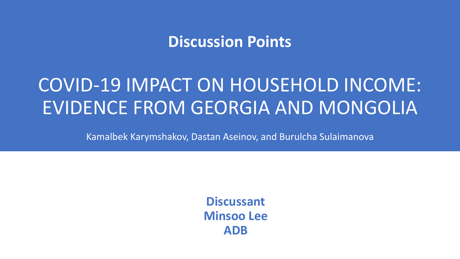## **Discussion Points**

# COVID-19 IMPACT ON HOUSEHOLD INCOME: EVIDENCE FROM GEORGIA AND MONGOLIA

Kamalbek Karymshakov, Dastan Aseinov, and Burulcha Sulaimanova

**Discussant Minsoo Lee ADB**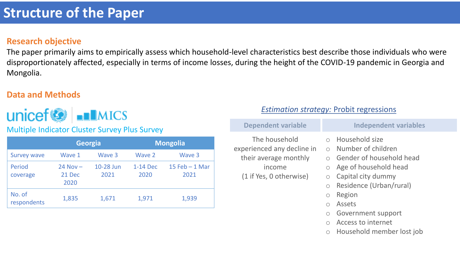## **Structure of the Paper**

#### **Research objective**

The paper primarily aims to empirically assess which household-level characteristics best describe those individuals who were disproportionately affected, especially in terms of income losses, during the height of the COVID-19 pandemic in Georgia and Mongolia.

### **Data and Methods**



**Multiple Indicator Cluster Survey Plus Survey** 

|                       |                                | <b>Georgia</b>    | <b>Mongolia</b>  |                          |  |  |
|-----------------------|--------------------------------|-------------------|------------------|--------------------------|--|--|
| <b>Survey wave</b>    | Wave 1                         | Wave 3            | Wave 2           | Wave 3                   |  |  |
| Period<br>coverage    | $24$ Nov $-$<br>21 Dec<br>2020 | 10-28 Jun<br>2021 | 1-14 Dec<br>2020 | 15 Feb $-$ 1 Mar<br>2021 |  |  |
| No. of<br>respondents | 1,835                          | 1,671             | 1,971            | 1,939                    |  |  |

#### *Estimation strategy:* Probit regressions

| <b>Dependent variable</b>                                                                                 | <b>Independent variables</b>                                                                                                                                                                                                    |
|-----------------------------------------------------------------------------------------------------------|---------------------------------------------------------------------------------------------------------------------------------------------------------------------------------------------------------------------------------|
| The household<br>experienced any decline in<br>their average monthly<br>income<br>(1 if Yes, 0 otherwise) | <b>Household size</b><br>$\bigcap$<br>Number of children<br>$\bigcap$<br>Gender of household head<br>$\bigcap$<br>Age of household head<br>$\bigcirc$<br>Capital city dummy<br>$\bigcirc$<br>Residence (Urban/rural)<br>$\circ$ |
|                                                                                                           | Region<br>$\circ$<br><b>Assets</b><br>Government support<br>$\bigcirc$<br>Access to internet<br>Household member lost job<br>О                                                                                                  |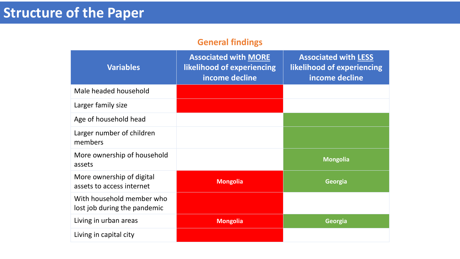## **Structure of the Paper**

### **General findings**

| <b>Variables</b>                                          | <b>Associated with MORE</b><br>likelihood of experiencing<br>income decline | <b>Associated with LESS</b><br>likelihood of experiencing<br>income decline |
|-----------------------------------------------------------|-----------------------------------------------------------------------------|-----------------------------------------------------------------------------|
| Male headed household                                     |                                                                             |                                                                             |
| Larger family size                                        |                                                                             |                                                                             |
| Age of household head                                     |                                                                             |                                                                             |
| Larger number of children<br>members                      |                                                                             |                                                                             |
| More ownership of household<br>assets                     |                                                                             | <b>Mongolia</b>                                                             |
| More ownership of digital<br>assets to access internet    | <b>Mongolia</b>                                                             | Georgia                                                                     |
| With household member who<br>lost job during the pandemic |                                                                             |                                                                             |
| Living in urban areas                                     | <b>Mongolia</b>                                                             | Georgia                                                                     |
| Living in capital city                                    |                                                                             |                                                                             |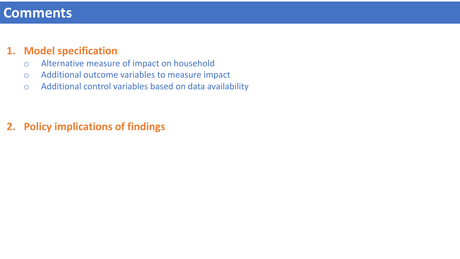## **Comments**

### **1. Model specification**

- o Alternative measure of impact on household
- o Additional outcome variables to measure impact
- o Additional control variables based on data availability

## **2. Policy implications of findings**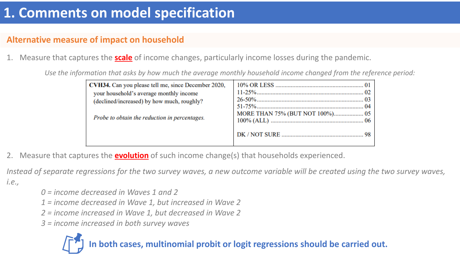## **1. Comments on model specification**

### **Alternative measure of impact on household**

1. Measure that captures the **scale** of income changes, particularly income losses during the pandemic.

*Use the information that asks by how much the average monthly household income changed from the reference period:*

| CVH34. Can you please tell me, since December 2020,<br>your household's average monthly income<br>(declined/increased) by how much, roughly?<br>Probe to obtain the reduction in percentages. | MORE THAN 75% (BUT NOT 100%) 05 |  |  |  |
|-----------------------------------------------------------------------------------------------------------------------------------------------------------------------------------------------|---------------------------------|--|--|--|
|                                                                                                                                                                                               |                                 |  |  |  |

2. Measure that captures the **evolution** of such income change(s) that households experienced.

*Instead of separate regressions for the two survey waves, a new outcome variable will be created using the two survey waves, i.e.,*

- *0 = income decreased in Waves 1 and 2*
- *1 = income decreased in Wave 1, but increased in Wave 2*
- *2 = income increased in Wave 1, but decreased in Wave 2*
- *3 = income increased in both survey waves*

## **In both cases, multinomial probit or logit regressions should be carried out.**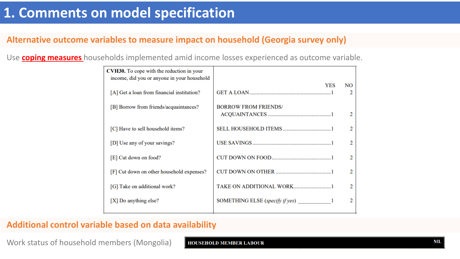### **Alternative outcome variables to measure impact on household (Georgia survey only)**

Use **coping measures** households implemented amid income losses experienced as outcome variable.

| <b>CVH30.</b> To cope with the reduction in your<br>income, did you or anyone in your household |                                   |                |
|-------------------------------------------------------------------------------------------------|-----------------------------------|----------------|
| [A] Get a loan from financial institution?                                                      | YES                               | NO.<br>2       |
| [B] Borrow from friends/acquaintances?                                                          | <b>BORROW FROM FRIENDS/</b>       |                |
|                                                                                                 |                                   | 2              |
| [C] Have to sell household items?                                                               |                                   | 2              |
| [D] Use any of your savings?                                                                    |                                   | $\overline{2}$ |
| [E] Cut down on food?                                                                           |                                   | 2              |
| [F] Cut down on other household expenses?                                                       |                                   | $\mathcal{D}$  |
| [G] Take on additional work?                                                                    | TAKE ON ADDITIONAL WORK1          | 2              |
| [X] Do anything else?                                                                           | SOMETHING ELSE (specify if yes) 1 | 2              |
|                                                                                                 |                                   |                |

#### **Additional control variable based on data availability**

Work status of household members (Mongolia)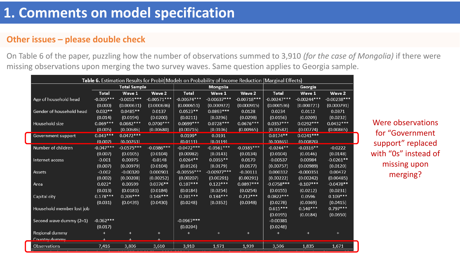### **Other issues – please double check**

On Table 6 of the paper, puzzling how the number of observations summed to 3,910 *(for the case of Mongolia)* if there were missing observations upon merging the two survey waves. Same question applies to Georgia sample.

| Table 6. Estimation Results for Probit Models on Probability of Income Reduction (Marginal Effects) |                     |              |               |               |               |               |               |               |               |
|-----------------------------------------------------------------------------------------------------|---------------------|--------------|---------------|---------------|---------------|---------------|---------------|---------------|---------------|
|                                                                                                     | <b>Total Sample</b> |              |               | Mongolia      |               |               | Georgia       |               |               |
|                                                                                                     | <b>Total</b>        | Wave 1       | Wave 2        | <b>Total</b>  | Wave 1        | Wave 2        | <b>Total</b>  | Wave 1        | Wave 2        |
| Age of household head                                                                               | $-0.005***$         | $-0.0051***$ | $-0.00571***$ | $-0.00674***$ | $-0.00637***$ | $-0.00718***$ | $-0.00247***$ | $-0.00244***$ | $-0.00238***$ |
|                                                                                                     | (0.000)             | (0.000631)   | (0.000636)    | (0.000651)    | (0.000922)    | (0.000915)    | (0.000536)    | (0.000721)    | (0.000791)    |
| Gender of household head                                                                            | $0.032**$           | $0.0485**$   | 0.0137        | $0.0523**$    | $0.0893***$   | 0.0128        | 0.0234        | 0.0112        | 0.0371        |
|                                                                                                     | (0.014)             | (0.0194)     | (0.0200)      | (0.0211)      | (0.0296)      | (0.0298)      | (0.0156)      | (0.0209)      | (0.0232)      |
| Household size                                                                                      | $0.069***$          | $0.0682***$  | $0.0700***$   | $0.0699***$   | $0.0728***$   | $0.0676***$   | $0.0357***$   | $0.0292***$   | $0.0432***$   |
|                                                                                                     | (0.005)             | (0.00686)    | (0.00680)     | (0.00716)     | (0.0106)      | (0.00965)     | (0.00582)     | (0.00774)     | (0.00865)     |
| Government support                                                                                  | $0.043***$          | $0.0472***$  |               | $0.0199*$     | 0.0191        |               | $0.0174**$    | $0.0241***$   |               |
|                                                                                                     | (0.007)             | (0.00763)    |               | (0.0111)      | (0.0119)      |               | (0.00865)     | (0.00876)     |               |
| Number of children                                                                                  | $-0.047***$         | $-0.0575***$ | $-0.0386***$  | $-0.0472***$  | $-0.0561***$  | $-0.0385***$  | $-0.0244**$   | $-0.0316**$   | $-0.0222$     |
|                                                                                                     | (0.007)             | (0.0105)     | (0.0104)      | (0.00982)     | (0.0143)      | (0.0134)      | (0.0104)      | (0.0146)      | (0.0148)      |
| Internet access                                                                                     | $-0.001$            | 0.00975      | $-0.0148$     | $0.0264**$    | $0.0355**$    | 0.0170        | $-0.00537$    | 0.00984       | $-0.0261**$   |
|                                                                                                     | (0.007)             | (0.00979)    | (0.0104)      | (0.0126)      | (0.0179)      | (0.0177)      | (0.00757)     | (0.00989)     | (0.0120)      |
| Assets                                                                                              | $-0.002$            | $-0.00320$   | 0.000901      | $-0.00556***$ | $-0.00977***$ | $-0.00111$    | 0.000332      | $-0.000351$   | 0.00472       |
|                                                                                                     | (0.002)             | (0.00208)    | (0.00252)     | (0.00207)     | (0.00291)     | (0.00291)     | (0.00222)     | (0.00242)     | (0.00485)     |
| Area                                                                                                | $0.022*$            | 0.00599      | $0.0376**$    | $0.107***$    | $0.122***$    | $0.0897***$   | $-0.0758***$  | $-0.107***$   | $-0.0478**$   |
|                                                                                                     | (0.013)             | (0.0181)     | (0.0184)      | (0.0184)      | (0.0254)      | (0.0254)      | (0.0155)      | (0.0212)      | (0.0231)      |
| Capital city                                                                                        | $0.178***$          | $0.209***$   | $0.148***$    | $0.201***$    | $0.184***$    | $0.212***$    | $0.0822***$   | 0.0596        | $0.109***$    |
|                                                                                                     | (0.031)             | (0.0439)     | (0.0430)      | (0.0248)      | (0.0352)      | (0.0348)      | (0.0278)      | (0.0369)      | (0.0415)      |
| Household member lost job                                                                           |                     |              |               |               |               |               | $0.615***$    | $0.540***$    | $0.797***$    |
|                                                                                                     |                     |              |               |               |               |               | (0.0195)      | (0.0184)      | (0.0650)      |
| Second wave dummy (2=1)                                                                             | $-0.062***$         |              |               | $-0.0967***$  |               |               | $-0.00381$    |               |               |
|                                                                                                     | (0.017)             |              |               | (0.0204)      |               |               | (0.0248)      |               |               |
| Regional dummy                                                                                      | $\ddot{}$           | $\ddot{}$    | $+$           |               | $\ddot{}$     | $\ddot{}$     |               | $\ddot{}$     | $\ddot{}$     |
| Country dummy                                                                                       |                     |              |               |               |               |               |               |               |               |
| Observations                                                                                        | 7,416               | 3,806        | 3,610         | 3,910         | 1,971         | 1,939         | 3,506         | 1,835         | 1,671         |

Were observations for "Government support" replaced with "0s" instead of missing upon merging?